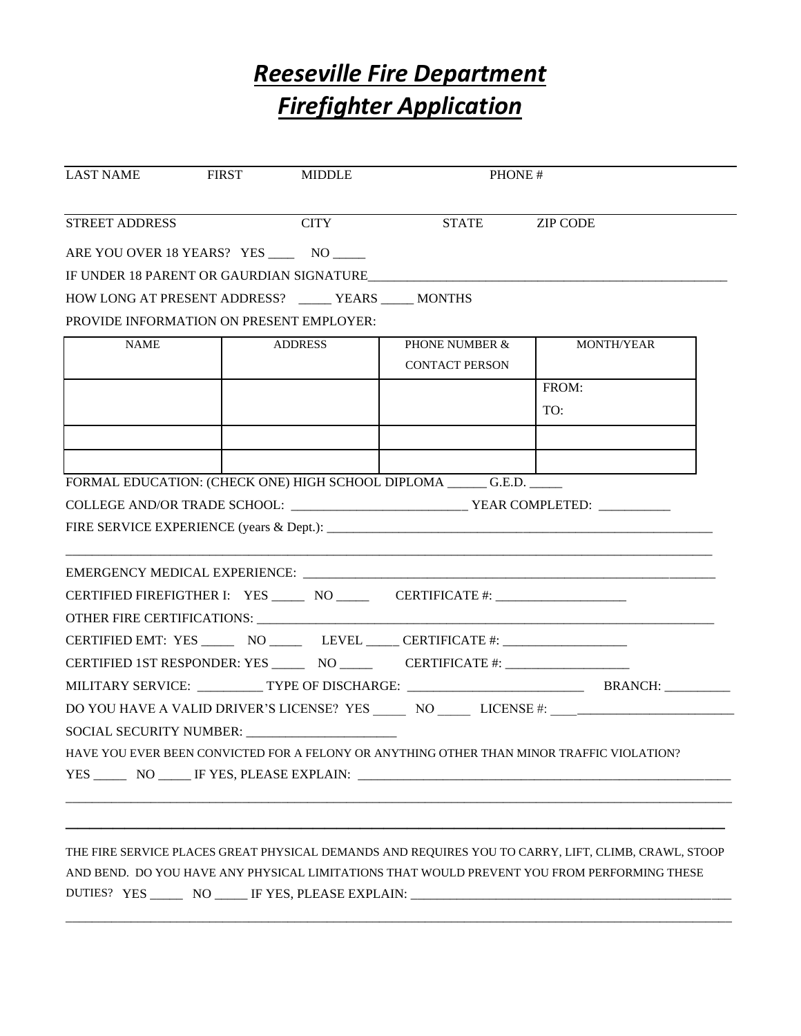## *Reeseville Fire Department Firefighter Application*

| <b>CITY</b><br><b>STREET ADDRESS</b><br>STATE ZIP CODE<br>ARE YOU OVER 18 YEARS? YES ______ NO _____<br>IF UNDER 18 PARENT OR GAURDIAN SIGNATURE<br>HOW LONG AT PRESENT ADDRESS? _____ YEARS ____ MONTHS<br>PROVIDE INFORMATION ON PRESENT EMPLOYER:<br><b>NAME</b><br>ADDRESS<br><b>PHONE NUMBER &amp;</b><br>MONTH/YEAR<br><b>CONTACT PERSON</b><br>FROM:<br>TO:<br>FORMAL EDUCATION: (CHECK ONE) HIGH SCHOOL DIPLOMA ______ G.E.D. _____<br>FIRE SERVICE EXPERIENCE (years $\&$ Dept.):<br>CERTIFIED FIREFIGTHER I: YES _____ NO _____ CERTIFICATE #: _____________________<br>CERTIFIED EMT: YES _________ NO ___________ LEVEL ______ CERTIFICATE #: ____________________________<br>CERTIFIED 1ST RESPONDER: YES ________ NO ___________ CERTIFICATE #: _____________<br>DO YOU HAVE A VALID DRIVER'S LICENSE? YES NO LICENSE #: ________________________<br>SOCIAL SECURITY NUMBER: ______________________ |  | FIRST MIDDLE | PHONE# |  |
|-------------------------------------------------------------------------------------------------------------------------------------------------------------------------------------------------------------------------------------------------------------------------------------------------------------------------------------------------------------------------------------------------------------------------------------------------------------------------------------------------------------------------------------------------------------------------------------------------------------------------------------------------------------------------------------------------------------------------------------------------------------------------------------------------------------------------------------------------------------------------------------------------------------------|--|--------------|--------|--|
|                                                                                                                                                                                                                                                                                                                                                                                                                                                                                                                                                                                                                                                                                                                                                                                                                                                                                                                   |  |              |        |  |
|                                                                                                                                                                                                                                                                                                                                                                                                                                                                                                                                                                                                                                                                                                                                                                                                                                                                                                                   |  |              |        |  |
|                                                                                                                                                                                                                                                                                                                                                                                                                                                                                                                                                                                                                                                                                                                                                                                                                                                                                                                   |  |              |        |  |
|                                                                                                                                                                                                                                                                                                                                                                                                                                                                                                                                                                                                                                                                                                                                                                                                                                                                                                                   |  |              |        |  |
|                                                                                                                                                                                                                                                                                                                                                                                                                                                                                                                                                                                                                                                                                                                                                                                                                                                                                                                   |  |              |        |  |
|                                                                                                                                                                                                                                                                                                                                                                                                                                                                                                                                                                                                                                                                                                                                                                                                                                                                                                                   |  |              |        |  |
|                                                                                                                                                                                                                                                                                                                                                                                                                                                                                                                                                                                                                                                                                                                                                                                                                                                                                                                   |  |              |        |  |
|                                                                                                                                                                                                                                                                                                                                                                                                                                                                                                                                                                                                                                                                                                                                                                                                                                                                                                                   |  |              |        |  |
|                                                                                                                                                                                                                                                                                                                                                                                                                                                                                                                                                                                                                                                                                                                                                                                                                                                                                                                   |  |              |        |  |
|                                                                                                                                                                                                                                                                                                                                                                                                                                                                                                                                                                                                                                                                                                                                                                                                                                                                                                                   |  |              |        |  |
|                                                                                                                                                                                                                                                                                                                                                                                                                                                                                                                                                                                                                                                                                                                                                                                                                                                                                                                   |  |              |        |  |
|                                                                                                                                                                                                                                                                                                                                                                                                                                                                                                                                                                                                                                                                                                                                                                                                                                                                                                                   |  |              |        |  |
|                                                                                                                                                                                                                                                                                                                                                                                                                                                                                                                                                                                                                                                                                                                                                                                                                                                                                                                   |  |              |        |  |
|                                                                                                                                                                                                                                                                                                                                                                                                                                                                                                                                                                                                                                                                                                                                                                                                                                                                                                                   |  |              |        |  |
|                                                                                                                                                                                                                                                                                                                                                                                                                                                                                                                                                                                                                                                                                                                                                                                                                                                                                                                   |  |              |        |  |
| HAVE YOU EVER BEEN CONVICTED FOR A FELONY OR ANYTHING OTHER THAN MINOR TRAFFIC VIOLATION?                                                                                                                                                                                                                                                                                                                                                                                                                                                                                                                                                                                                                                                                                                                                                                                                                         |  |              |        |  |
|                                                                                                                                                                                                                                                                                                                                                                                                                                                                                                                                                                                                                                                                                                                                                                                                                                                                                                                   |  |              |        |  |
|                                                                                                                                                                                                                                                                                                                                                                                                                                                                                                                                                                                                                                                                                                                                                                                                                                                                                                                   |  |              |        |  |

\_\_\_\_\_\_\_\_\_\_\_\_\_\_\_\_\_\_\_\_\_\_\_\_\_\_\_\_\_\_\_\_\_\_\_\_\_\_\_\_\_\_\_\_\_\_\_\_\_\_\_\_\_\_\_\_\_\_\_\_\_\_\_\_\_\_\_\_\_\_\_\_\_\_\_\_\_\_\_\_\_\_\_\_\_\_\_\_\_\_\_\_\_\_\_\_\_\_\_\_\_\_

DUTIES? YES \_\_\_\_\_\_ NO \_\_\_\_\_ IF YES, PLEASE EXPLAIN: \_\_\_\_\_\_\_\_\_\_\_\_\_\_\_\_\_\_\_\_\_\_\_\_\_\_\_\_\_